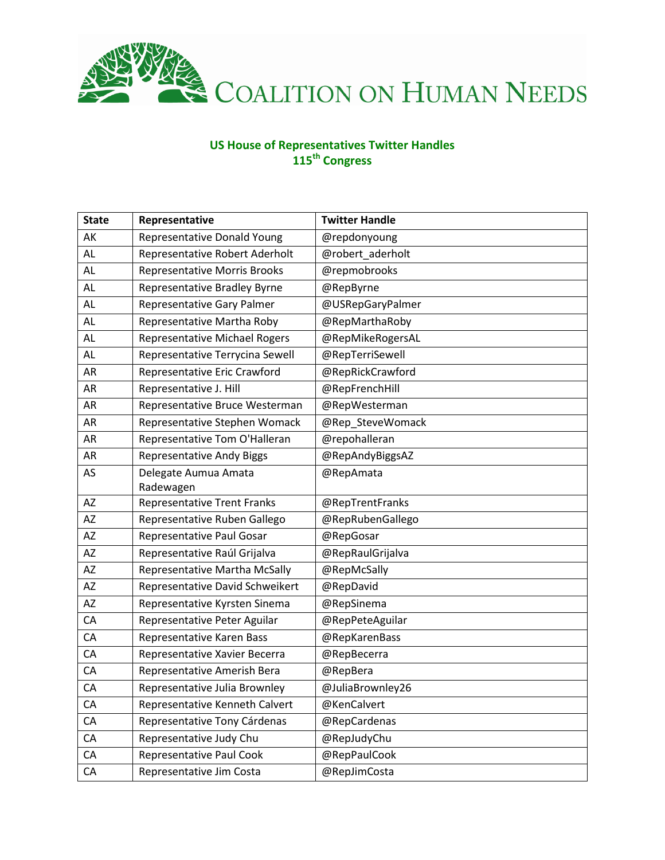

## **US House of Representatives Twitter Handles 115th Congress**

| <b>State</b> | Representative                       | <b>Twitter Handle</b> |
|--------------|--------------------------------------|-----------------------|
| AK           | Representative Donald Young          | @repdonyoung          |
| <b>AL</b>    | Representative Robert Aderholt       | @robert_aderholt      |
| <b>AL</b>    | <b>Representative Morris Brooks</b>  | @repmobrooks          |
| AL           | Representative Bradley Byrne         | @RepByrne             |
| AL           | Representative Gary Palmer           | @USRepGaryPalmer      |
| <b>AL</b>    | Representative Martha Roby           | @RepMarthaRoby        |
| <b>AL</b>    | <b>Representative Michael Rogers</b> | @RepMikeRogersAL      |
| AL           | Representative Terrycina Sewell      | @RepTerriSewell       |
| AR           | Representative Eric Crawford         | @RepRickCrawford      |
| AR           | Representative J. Hill               | @RepFrenchHill        |
| AR           | Representative Bruce Westerman       | @RepWesterman         |
| AR           | Representative Stephen Womack        | @Rep_SteveWomack      |
| AR           | Representative Tom O'Halleran        | @repohalleran         |
| AR           | <b>Representative Andy Biggs</b>     | @RepAndyBiggsAZ       |
| AS           | Delegate Aumua Amata                 | @RepAmata             |
|              | Radewagen                            |                       |
| AZ           | <b>Representative Trent Franks</b>   | @RepTrentFranks       |
| AZ           | Representative Ruben Gallego         | @RepRubenGallego      |
| AZ           | Representative Paul Gosar            | @RepGosar             |
| ΑZ           | Representative Raúl Grijalva         | @RepRaulGrijalva      |
| AZ           | Representative Martha McSally        | @RepMcSally           |
| AZ           | Representative David Schweikert      | @RepDavid             |
| AZ           | Representative Kyrsten Sinema        | @RepSinema            |
| CA           | Representative Peter Aguilar         | @RepPeteAguilar       |
| CA           | Representative Karen Bass            | @RepKarenBass         |
| CA           | Representative Xavier Becerra        | @RepBecerra           |
| CA           | Representative Amerish Bera          | @RepBera              |
| CA           | Representative Julia Brownley        | @JuliaBrownley26      |
| CA           | Representative Kenneth Calvert       | @KenCalvert           |
| CA           | Representative Tony Cárdenas         | @RepCardenas          |
| CA           | Representative Judy Chu              | @RepJudyChu           |
| CA           | Representative Paul Cook             | @RepPaulCook          |
| CA           | Representative Jim Costa             | @RepJimCosta          |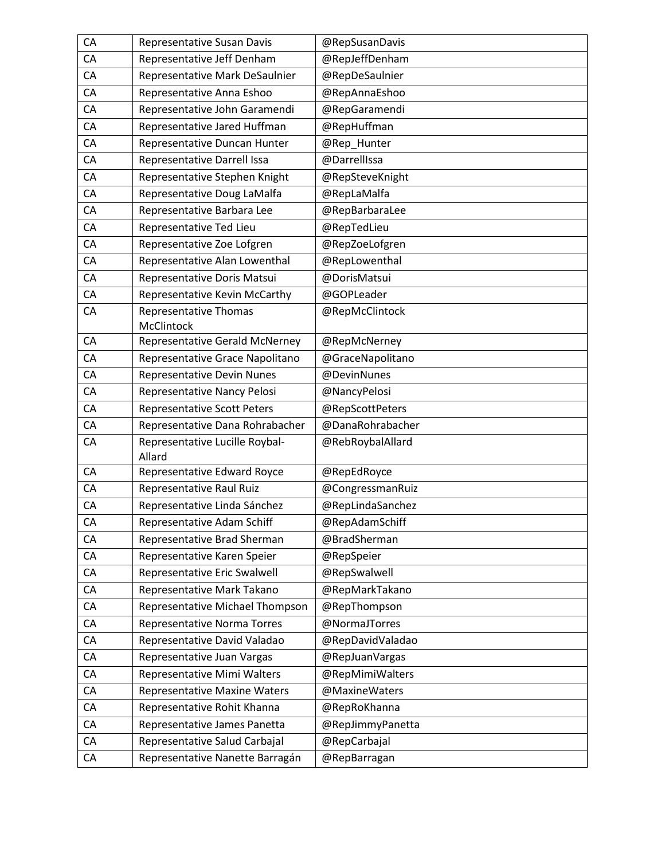| CA | Representative Susan Davis               | @RepSusanDavis   |
|----|------------------------------------------|------------------|
| CA | Representative Jeff Denham               | @RepJeffDenham   |
| CA | Representative Mark DeSaulnier           | @RepDeSaulnier   |
| CA | Representative Anna Eshoo                | @RepAnnaEshoo    |
| CA | Representative John Garamendi            | @RepGaramendi    |
| CA | Representative Jared Huffman             | @RepHuffman      |
| CA | Representative Duncan Hunter             | @Rep_Hunter      |
| CA | <b>Representative Darrell Issa</b>       | @DarrellIssa     |
| CA | Representative Stephen Knight            | @RepSteveKnight  |
| CA | Representative Doug LaMalfa              | @RepLaMalfa      |
| CA | Representative Barbara Lee               | @RepBarbaraLee   |
| CA | Representative Ted Lieu                  | @RepTedLieu      |
| CA | Representative Zoe Lofgren               | @RepZoeLofgren   |
| CA | Representative Alan Lowenthal            | @RepLowenthal    |
| CA | Representative Doris Matsui              | @DorisMatsui     |
| CA | Representative Kevin McCarthy            | @GOPLeader       |
| CA | Representative Thomas<br>McClintock      | @RepMcClintock   |
| CA | <b>Representative Gerald McNerney</b>    | @RepMcNerney     |
| CA | Representative Grace Napolitano          | @GraceNapolitano |
| CA | <b>Representative Devin Nunes</b>        | @DevinNunes      |
| CA | Representative Nancy Pelosi              | @NancyPelosi     |
| CA | <b>Representative Scott Peters</b>       | @RepScottPeters  |
| CA | Representative Dana Rohrabacher          | @DanaRohrabacher |
| CA | Representative Lucille Roybal-<br>Allard | @RebRoybalAllard |
| CA | Representative Edward Royce              | @RepEdRoyce      |
| CA | Representative Raul Ruiz                 | @CongressmanRuiz |
| CA | Representative Linda Sánchez             | @RepLindaSanchez |
| CA | Representative Adam Schiff               | @RepAdamSchiff   |
| CA | Representative Brad Sherman              | @BradSherman     |
| CA | Representative Karen Speier              | @RepSpeier       |
| CA | Representative Eric Swalwell             | @RepSwalwell     |
| CA | Representative Mark Takano               | @RepMarkTakano   |
| CA | Representative Michael Thompson          | @RepThompson     |
| CA | Representative Norma Torres              | @NormaJTorres    |
| CA | Representative David Valadao             | @RepDavidValadao |
| CA | Representative Juan Vargas               | @RepJuanVargas   |
| CA | Representative Mimi Walters              | @RepMimiWalters  |
| CA | <b>Representative Maxine Waters</b>      | @MaxineWaters    |
| CA | Representative Rohit Khanna              | @RepRoKhanna     |
| CA | Representative James Panetta             | @RepJimmyPanetta |
| CA | Representative Salud Carbajal            | @RepCarbajal     |
| CA | Representative Nanette Barragán          | @RepBarragan     |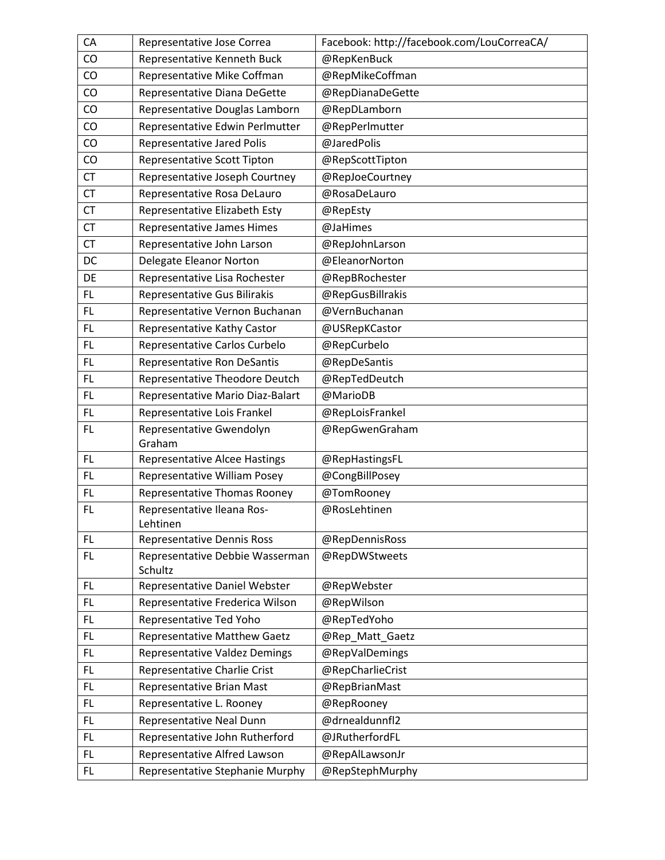| CA        | Representative Jose Correa           | Facebook: http://facebook.com/LouCorreaCA/ |
|-----------|--------------------------------------|--------------------------------------------|
| CO        | Representative Kenneth Buck          | @RepKenBuck                                |
| CO        | Representative Mike Coffman          | @RepMikeCoffman                            |
| CO        | Representative Diana DeGette         | @RepDianaDeGette                           |
| CO        | Representative Douglas Lamborn       | @RepDLamborn                               |
| CO        | Representative Edwin Perlmutter      | @RepPerlmutter                             |
| CO        | <b>Representative Jared Polis</b>    | @JaredPolis                                |
| CO        | <b>Representative Scott Tipton</b>   | @RepScottTipton                            |
| <b>CT</b> | Representative Joseph Courtney       | @RepJoeCourtney                            |
| <b>CT</b> | Representative Rosa DeLauro          | @RosaDeLauro                               |
| <b>CT</b> | Representative Elizabeth Esty        | @RepEsty                                   |
| <b>CT</b> | Representative James Himes           | @JaHimes                                   |
| <b>CT</b> | Representative John Larson           | @RepJohnLarson                             |
| DC        | Delegate Eleanor Norton              | @EleanorNorton                             |
| DE        | Representative Lisa Rochester        | @RepBRochester                             |
| FL        | Representative Gus Bilirakis         | @RepGusBillrakis                           |
| FL        | Representative Vernon Buchanan       | @VernBuchanan                              |
| FL.       | Representative Kathy Castor          | @USRepKCastor                              |
| FL.       | Representative Carlos Curbelo        | @RepCurbelo                                |
| <b>FL</b> | Representative Ron DeSantis          | @RepDeSantis                               |
| <b>FL</b> | Representative Theodore Deutch       | @RepTedDeutch                              |
| FL        | Representative Mario Diaz-Balart     | @MarioDB                                   |
| FL.       | Representative Lois Frankel          | @RepLoisFrankel                            |
| FL.       | Representative Gwendolyn<br>Graham   | @RepGwenGraham                             |
| <b>FL</b> | <b>Representative Alcee Hastings</b> | @RepHastingsFL                             |
| <b>FL</b> | Representative William Posey         | @CongBillPosey                             |
| FL.       | Representative Thomas Rooney         | @TomRooney                                 |
| FL        | Representative Ileana Ros-           | @RosLehtinen                               |
|           | Lehtinen                             |                                            |
| <b>FL</b> | <b>Representative Dennis Ross</b>    | @RepDennisRoss                             |
| FL.       | Representative Debbie Wasserman      | @RepDWStweets                              |
|           | Schultz                              |                                            |
| <b>FL</b> | Representative Daniel Webster        | @RepWebster                                |
| FL.       | Representative Frederica Wilson      | @RepWilson                                 |
| FL.       | Representative Ted Yoho              | @RepTedYoho                                |
| FL.       | Representative Matthew Gaetz         | @Rep_Matt_Gaetz                            |
| FL        | Representative Valdez Demings        | @RepValDemings                             |
| FL        | Representative Charlie Crist         | @RepCharlieCrist                           |
| FL.       | Representative Brian Mast            | @RepBrianMast                              |
| FL.       | Representative L. Rooney             | @RepRooney                                 |
| FL.       | Representative Neal Dunn             | @drnealdunnfl2                             |
| FL.       | Representative John Rutherford       | @JRutherfordFL                             |
| FL        | Representative Alfred Lawson         | @RepAlLawsonJr                             |
| FL.       | Representative Stephanie Murphy      | @RepStephMurphy                            |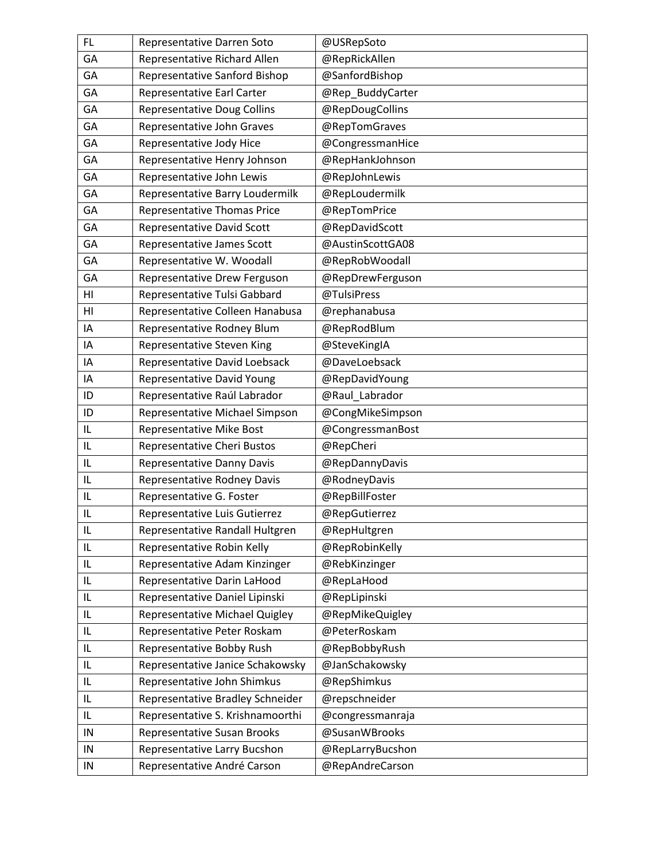| FL.        | Representative Darren Soto         | @USRepSoto       |
|------------|------------------------------------|------------------|
| GA         | Representative Richard Allen       | @RepRickAllen    |
| GA         | Representative Sanford Bishop      | @SanfordBishop   |
| GA         | Representative Earl Carter         | @Rep BuddyCarter |
| GA         | <b>Representative Doug Collins</b> | @RepDougCollins  |
| GA         | Representative John Graves         | @RepTomGraves    |
| GA         | Representative Jody Hice           | @CongressmanHice |
| GA         | Representative Henry Johnson       | @RepHankJohnson  |
| GA         | Representative John Lewis          | @RepJohnLewis    |
| GA         | Representative Barry Loudermilk    | @RepLoudermilk   |
| GA         | <b>Representative Thomas Price</b> | @RepTomPrice     |
| GA         | <b>Representative David Scott</b>  | @RepDavidScott   |
| GA         | Representative James Scott         | @AustinScottGA08 |
| GA         | Representative W. Woodall          | @RepRobWoodall   |
| GA         | Representative Drew Ferguson       | @RepDrewFerguson |
| HI         | Representative Tulsi Gabbard       | @TulsiPress      |
| HI         | Representative Colleen Hanabusa    | @rephanabusa     |
| IA         | Representative Rodney Blum         | @RepRodBlum      |
| IA         | Representative Steven King         | @SteveKingIA     |
| IA         | Representative David Loebsack      | @DaveLoebsack    |
| IA         | Representative David Young         | @RepDavidYoung   |
| ID         | Representative Raúl Labrador       | @Raul Labrador   |
| ID         | Representative Michael Simpson     | @CongMikeSimpson |
| IL         | Representative Mike Bost           | @CongressmanBost |
| IL         | Representative Cheri Bustos        | @RepCheri        |
| IL         | <b>Representative Danny Davis</b>  | @RepDannyDavis   |
| IL         | Representative Rodney Davis        | @RodneyDavis     |
| IL         | Representative G. Foster           | @RepBillFoster   |
| IL         | Representative Luis Gutierrez      | @RepGutierrez    |
| IL         | Representative Randall Hultgren    | @RepHultgren     |
| IL         | Representative Robin Kelly         | @RepRobinKelly   |
| IL         | Representative Adam Kinzinger      | @RebKinzinger    |
| IL         | Representative Darin LaHood        | @RepLaHood       |
| IL         | Representative Daniel Lipinski     | @RepLipinski     |
| IL         | Representative Michael Quigley     | @RepMikeQuigley  |
| IL         | Representative Peter Roskam        | @PeterRoskam     |
| IL         | Representative Bobby Rush          | @RepBobbyRush    |
| IL         | Representative Janice Schakowsky   | @JanSchakowsky   |
| IL         | Representative John Shimkus        | @RepShimkus      |
| IL         | Representative Bradley Schneider   | @repschneider    |
| IL         | Representative S. Krishnamoorthi   | @congressmanraja |
| ${\sf IN}$ | Representative Susan Brooks        | @SusanWBrooks    |
| ${\sf IN}$ | Representative Larry Bucshon       | @RepLarryBucshon |
| IN         | Representative André Carson        | @RepAndreCarson  |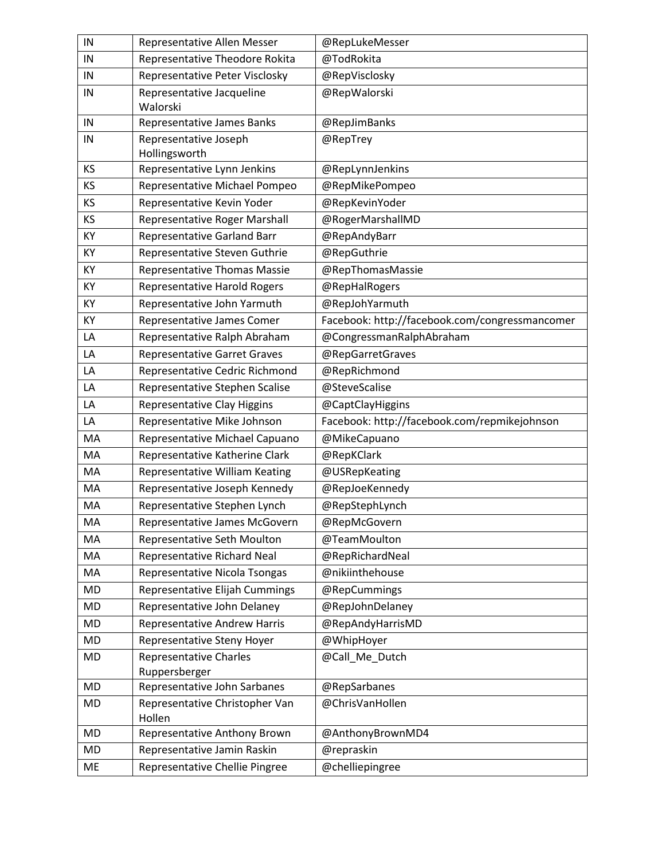| IN        | Representative Allen Messer              | @RepLukeMesser                                 |
|-----------|------------------------------------------|------------------------------------------------|
| IN        | Representative Theodore Rokita           | @TodRokita                                     |
| IN        | Representative Peter Visclosky           | @RepVisclosky                                  |
| IN        | Representative Jacqueline                | @RepWalorski                                   |
|           | Walorski                                 |                                                |
| IN        | Representative James Banks               | @RepJimBanks                                   |
| IN        | Representative Joseph                    | @RepTrey                                       |
|           | Hollingsworth                            |                                                |
| <b>KS</b> | Representative Lynn Jenkins              | @RepLynnJenkins                                |
| КS        | Representative Michael Pompeo            | @RepMikePompeo                                 |
| KS        | Representative Kevin Yoder               | @RepKevinYoder                                 |
| <b>KS</b> | Representative Roger Marshall            | @RogerMarshallMD                               |
| KY        | Representative Garland Barr              | @RepAndyBarr                                   |
| KY        | Representative Steven Guthrie            | @RepGuthrie                                    |
| KY        | <b>Representative Thomas Massie</b>      | @RepThomasMassie                               |
| KY        | <b>Representative Harold Rogers</b>      | @RepHalRogers                                  |
| KY        | Representative John Yarmuth              | @RepJohYarmuth                                 |
| KY        | Representative James Comer               | Facebook: http://facebook.com/congressmancomer |
| LA        | Representative Ralph Abraham             | @CongressmanRalphAbraham                       |
| LA        | <b>Representative Garret Graves</b>      | @RepGarretGraves                               |
| LA        | Representative Cedric Richmond           | @RepRichmond                                   |
| LA        | Representative Stephen Scalise           | @SteveScalise                                  |
| LA        | Representative Clay Higgins              | @CaptClayHiggins                               |
| LA        | Representative Mike Johnson              | Facebook: http://facebook.com/repmikejohnson   |
| MA        | Representative Michael Capuano           | @MikeCapuano                                   |
| MA        | Representative Katherine Clark           | @RepKClark                                     |
| MA        | Representative William Keating           | @USRepKeating                                  |
| MA        | Representative Joseph Kennedy            | @RepJoeKennedy                                 |
| MA        | Representative Stephen Lynch             | @RepStephLynch                                 |
| MA        | Representative James McGovern            | @RepMcGovern                                   |
| MA        | Representative Seth Moulton              | @TeamMoulton                                   |
| MA        | Representative Richard Neal              | @RepRichardNeal                                |
| MA        | Representative Nicola Tsongas            | @nikiinthehouse                                |
| MD        | Representative Elijah Cummings           | @RepCummings                                   |
| <b>MD</b> | Representative John Delaney              | @RepJohnDelaney                                |
| <b>MD</b> | <b>Representative Andrew Harris</b>      | @RepAndyHarrisMD                               |
| <b>MD</b> | Representative Steny Hoyer               | @WhipHoyer                                     |
| <b>MD</b> | <b>Representative Charles</b>            | @Call_Me_Dutch                                 |
|           | Ruppersberger                            |                                                |
| <b>MD</b> | Representative John Sarbanes             | @RepSarbanes                                   |
| MD        | Representative Christopher Van<br>Hollen | @ChrisVanHollen                                |
| MD        | Representative Anthony Brown             | @AnthonyBrownMD4                               |
| MD        | Representative Jamin Raskin              | @repraskin                                     |
| ME        | Representative Chellie Pingree           | @chelliepingree                                |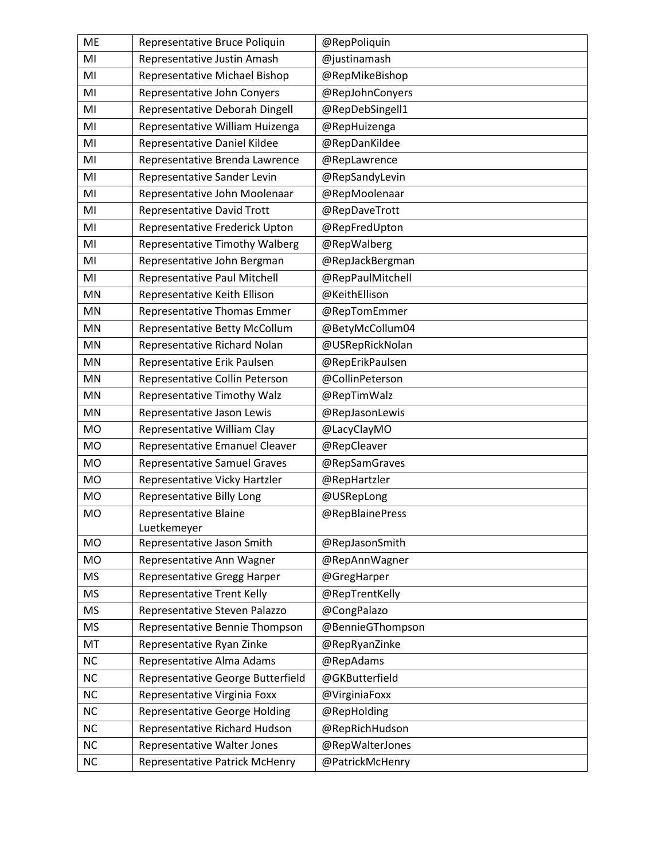| <b>ME</b> | Representative Bruce Poliquin         | @RepPoliquin     |
|-----------|---------------------------------------|------------------|
| MI        | Representative Justin Amash           | @justinamash     |
| MI        | Representative Michael Bishop         | @RepMikeBishop   |
| MI        | Representative John Conyers           | @RepJohnConyers  |
| MI        | Representative Deborah Dingell        | @RepDebSingell1  |
| MI        | Representative William Huizenga       | @RepHuizenga     |
| MI        | Representative Daniel Kildee          | @RepDanKildee    |
| MI        | Representative Brenda Lawrence        | @RepLawrence     |
| MI        | Representative Sander Levin           | @RepSandyLevin   |
| MI        | Representative John Moolenaar         | @RepMoolenaar    |
| MI        | <b>Representative David Trott</b>     | @RepDaveTrott    |
| MI        | Representative Frederick Upton        | @RepFredUpton    |
| MI        | <b>Representative Timothy Walberg</b> | @RepWalberg      |
| MI        | Representative John Bergman           | @RepJackBergman  |
| MI        | Representative Paul Mitchell          | @RepPaulMitchell |
| MN        | Representative Keith Ellison          | @KeithEllison    |
| MN        | Representative Thomas Emmer           | @RepTomEmmer     |
| MN        | Representative Betty McCollum         | @BetyMcCollum04  |
| MN        | Representative Richard Nolan          | @USRepRickNolan  |
| MN        | Representative Erik Paulsen           | @RepErikPaulsen  |
| MN        | Representative Collin Peterson        | @CollinPeterson  |
| MN        | Representative Timothy Walz           | @RepTimWalz      |
| MN        | Representative Jason Lewis            | @RepJasonLewis   |
| <b>MO</b> | Representative William Clay           | @LacyClayMO      |
| <b>MO</b> | Representative Emanuel Cleaver        | @RepCleaver      |
| <b>MO</b> | <b>Representative Samuel Graves</b>   | @RepSamGraves    |
| <b>MO</b> | Representative Vicky Hartzler         | @RepHartzler     |
| <b>MO</b> | Representative Billy Long             | @USRepLong       |
| <b>MO</b> | Representative Blaine                 | @RepBlainePress  |
|           | Luetkemeyer                           |                  |
| <b>MO</b> | Representative Jason Smith            | @RepJasonSmith   |
| <b>MO</b> | Representative Ann Wagner             | @RepAnnWagner    |
| MS        | Representative Gregg Harper           | @GregHarper      |
| <b>MS</b> | <b>Representative Trent Kelly</b>     | @RepTrentKelly   |
| <b>MS</b> | Representative Steven Palazzo         | @CongPalazo      |
| <b>MS</b> | Representative Bennie Thompson        | @BennieGThompson |
| MT        | Representative Ryan Zinke             | @RepRyanZinke    |
| <b>NC</b> | Representative Alma Adams             | @RepAdams        |
| NC        | Representative George Butterfield     | @GKButterfield   |
| NC        | Representative Virginia Foxx          | @VirginiaFoxx    |
| <b>NC</b> | <b>Representative George Holding</b>  | @RepHolding      |
| <b>NC</b> | Representative Richard Hudson         | @RepRichHudson   |
| NC        | Representative Walter Jones           | @RepWalterJones  |
| NC        | <b>Representative Patrick McHenry</b> | @PatrickMcHenry  |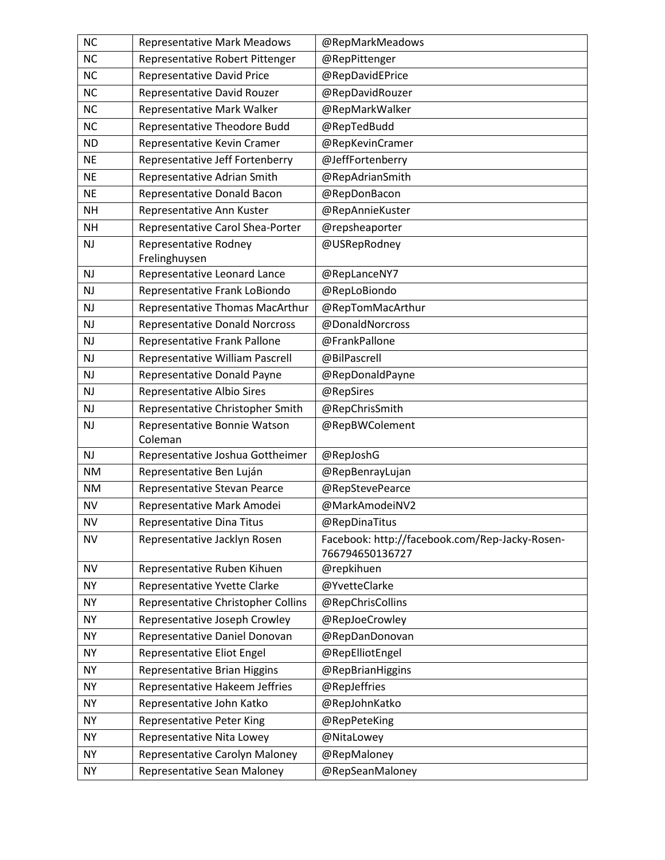| <b>NC</b> | <b>Representative Mark Meadows</b>      | @RepMarkMeadows                                                   |
|-----------|-----------------------------------------|-------------------------------------------------------------------|
| <b>NC</b> | Representative Robert Pittenger         | @RepPittenger                                                     |
| <b>NC</b> | <b>Representative David Price</b>       | @RepDavidEPrice                                                   |
| <b>NC</b> | Representative David Rouzer             | @RepDavidRouzer                                                   |
| <b>NC</b> | Representative Mark Walker              | @RepMarkWalker                                                    |
| <b>NC</b> | Representative Theodore Budd            | @RepTedBudd                                                       |
| <b>ND</b> | Representative Kevin Cramer             | @RepKevinCramer                                                   |
| <b>NE</b> | Representative Jeff Fortenberry         | @JeffFortenberry                                                  |
| <b>NE</b> | Representative Adrian Smith             | @RepAdrianSmith                                                   |
| <b>NE</b> | Representative Donald Bacon             | @RepDonBacon                                                      |
| <b>NH</b> | Representative Ann Kuster               | @RepAnnieKuster                                                   |
| <b>NH</b> | Representative Carol Shea-Porter        | @repsheaporter                                                    |
| <b>NJ</b> | Representative Rodney                   | @USRepRodney                                                      |
|           | Frelinghuysen                           |                                                                   |
| <b>NJ</b> | Representative Leonard Lance            | @RepLanceNY7                                                      |
| <b>NJ</b> | Representative Frank LoBiondo           | @RepLoBiondo                                                      |
| <b>NJ</b> | Representative Thomas MacArthur         | @RepTomMacArthur                                                  |
| <b>NJ</b> | <b>Representative Donald Norcross</b>   | @DonaldNorcross                                                   |
| <b>NJ</b> | Representative Frank Pallone            | @FrankPallone                                                     |
| <b>NJ</b> | Representative William Pascrell         | @BilPascrell                                                      |
| <b>NJ</b> | Representative Donald Payne             | @RepDonaldPayne                                                   |
| <b>NJ</b> | Representative Albio Sires              | @RepSires                                                         |
| <b>NJ</b> | Representative Christopher Smith        | @RepChrisSmith                                                    |
| <b>NJ</b> | Representative Bonnie Watson<br>Coleman | @RepBWColement                                                    |
| <b>NJ</b> | Representative Joshua Gottheimer        | @RepJoshG                                                         |
| <b>NM</b> | Representative Ben Luján                | @RepBenrayLujan                                                   |
| <b>NM</b> | Representative Stevan Pearce            | @RepStevePearce                                                   |
| <b>NV</b> | Representative Mark Amodei              | @MarkAmodeiNV2                                                    |
| <b>NV</b> | Representative Dina Titus               | @RepDinaTitus                                                     |
| <b>NV</b> | Representative Jacklyn Rosen            | Facebook: http://facebook.com/Rep-Jacky-Rosen-<br>766794650136727 |
| <b>NV</b> | Representative Ruben Kihuen             | @repkihuen                                                        |
| <b>NY</b> | Representative Yvette Clarke            | @YvetteClarke                                                     |
| <b>NY</b> | Representative Christopher Collins      | @RepChrisCollins                                                  |
| <b>NY</b> | Representative Joseph Crowley           | @RepJoeCrowley                                                    |
| <b>NY</b> | Representative Daniel Donovan           | @RepDanDonovan                                                    |
| <b>NY</b> | Representative Eliot Engel              | @RepElliotEngel                                                   |
| <b>NY</b> | Representative Brian Higgins            | @RepBrianHiggins                                                  |
| <b>NY</b> | Representative Hakeem Jeffries          | @RepJeffries                                                      |
| <b>NY</b> | Representative John Katko               | @RepJohnKatko                                                     |
| <b>NY</b> | <b>Representative Peter King</b>        | @RepPeteKing                                                      |
| <b>NY</b> | Representative Nita Lowey               | @NitaLowey                                                        |
| <b>NY</b> | Representative Carolyn Maloney          | @RepMaloney                                                       |
| NY        | Representative Sean Maloney             | @RepSeanMaloney                                                   |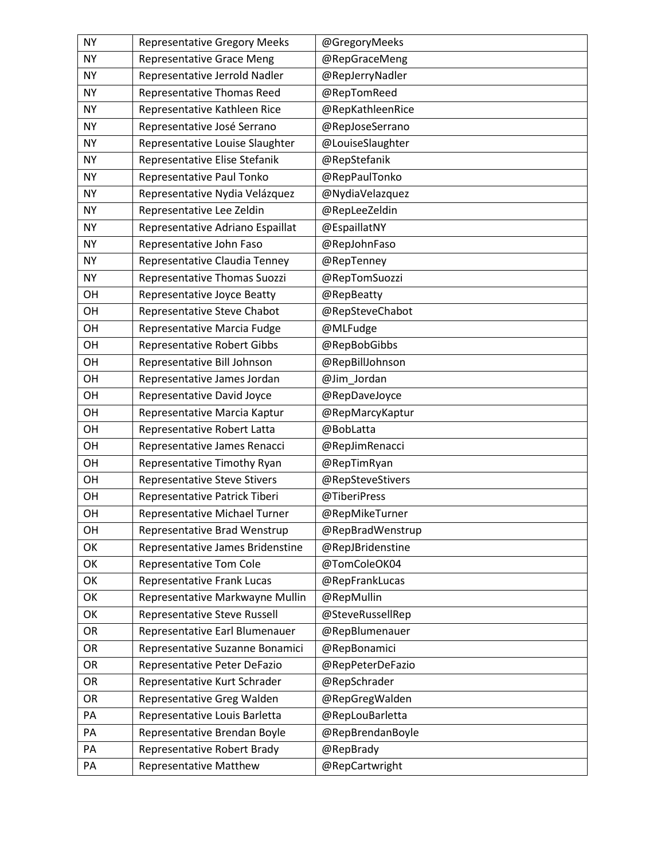| NY.       | <b>Representative Gregory Meeks</b> | @GregoryMeeks    |
|-----------|-------------------------------------|------------------|
| <b>NY</b> | <b>Representative Grace Meng</b>    | @RepGraceMeng    |
| NY.       | Representative Jerrold Nadler       | @RepJerryNadler  |
| <b>NY</b> | Representative Thomas Reed          | @RepTomReed      |
| <b>NY</b> | Representative Kathleen Rice        | @RepKathleenRice |
| <b>NY</b> | Representative José Serrano         | @RepJoseSerrano  |
| <b>NY</b> | Representative Louise Slaughter     | @LouiseSlaughter |
| <b>NY</b> | Representative Elise Stefanik       | @RepStefanik     |
| <b>NY</b> | Representative Paul Tonko           | @RepPaulTonko    |
| <b>NY</b> | Representative Nydia Velázquez      | @NydiaVelazquez  |
| <b>NY</b> | Representative Lee Zeldin           | @RepLeeZeldin    |
| <b>NY</b> | Representative Adriano Espaillat    | @EspaillatNY     |
| <b>NY</b> | Representative John Faso            | @RepJohnFaso     |
| <b>NY</b> | Representative Claudia Tenney       | @RepTenney       |
| <b>NY</b> | Representative Thomas Suozzi        | @RepTomSuozzi    |
| OH        | Representative Joyce Beatty         | @RepBeatty       |
| OH        | Representative Steve Chabot         | @RepSteveChabot  |
| OH        | Representative Marcia Fudge         | @MLFudge         |
| OH        | <b>Representative Robert Gibbs</b>  | @RepBobGibbs     |
| OH        | Representative Bill Johnson         | @RepBillJohnson  |
| OH        | Representative James Jordan         | @Jim Jordan      |
| OH        | Representative David Joyce          | @RepDaveJoyce    |
| OH        | Representative Marcia Kaptur        | @RepMarcyKaptur  |
| OH        | Representative Robert Latta         | @BobLatta        |
| OH        | Representative James Renacci        | @RepJimRenacci   |
| OH        | Representative Timothy Ryan         | @RepTimRyan      |
| OH        | <b>Representative Steve Stivers</b> | @RepSteveStivers |
| OH        | Representative Patrick Tiberi       | @TiberiPress     |
| OH        | Representative Michael Turner       | @RepMikeTurner   |
| OH        | Representative Brad Wenstrup        | @RepBradWenstrup |
| OK        | Representative James Bridenstine    | @RepJBridenstine |
| OK        | Representative Tom Cole             | @TomColeOK04     |
| OK        | <b>Representative Frank Lucas</b>   | @RepFrankLucas   |
| OK        | Representative Markwayne Mullin     | @RepMullin       |
| OK        | Representative Steve Russell        | @SteveRussellRep |
| <b>OR</b> | Representative Earl Blumenauer      | @RepBlumenauer   |
| OR        | Representative Suzanne Bonamici     | @RepBonamici     |
| <b>OR</b> | Representative Peter DeFazio        | @RepPeterDeFazio |
| OR        | Representative Kurt Schrader        | @RepSchrader     |
| OR        | Representative Greg Walden          | @RepGregWalden   |
| PA        | Representative Louis Barletta       | @RepLouBarletta  |
| PA        | Representative Brendan Boyle        | @RepBrendanBoyle |
| PA        | Representative Robert Brady         | @RepBrady        |
| PA        | <b>Representative Matthew</b>       | @RepCartwright   |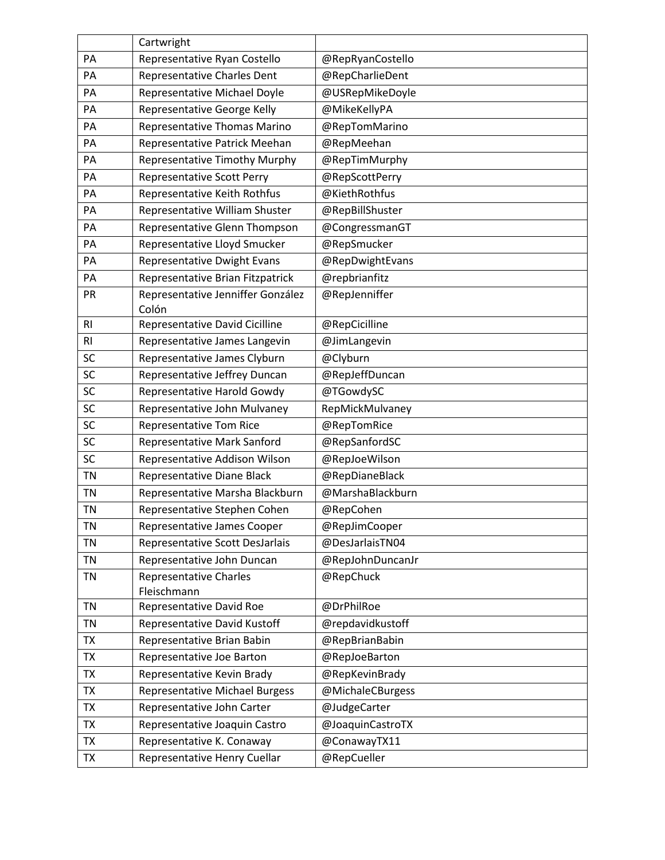|                | Cartwright                                   |                  |
|----------------|----------------------------------------------|------------------|
| PA             | Representative Ryan Costello                 | @RepRyanCostello |
| PA             | <b>Representative Charles Dent</b>           | @RepCharlieDent  |
| PA             | Representative Michael Doyle                 | @USRepMikeDoyle  |
| PA             | Representative George Kelly                  | @MikeKellyPA     |
| PA             | Representative Thomas Marino                 | @RepTomMarino    |
| PA             | Representative Patrick Meehan                | @RepMeehan       |
| PA             | Representative Timothy Murphy                | @RepTimMurphy    |
| PA             | <b>Representative Scott Perry</b>            | @RepScottPerry   |
| PA             | Representative Keith Rothfus                 | @KiethRothfus    |
| PA             | Representative William Shuster               | @RepBillShuster  |
| PA             | Representative Glenn Thompson                | @CongressmanGT   |
| PA             | Representative Lloyd Smucker                 | @RepSmucker      |
| PA             | <b>Representative Dwight Evans</b>           | @RepDwightEvans  |
| PA             | Representative Brian Fitzpatrick             | @repbrianfitz    |
| PR             | Representative Jenniffer González<br>Colón   | @RepJenniffer    |
| R <sub>l</sub> | Representative David Cicilline               | @RepCicilline    |
| R <sub>l</sub> | Representative James Langevin                | @JimLangevin     |
| SC             | Representative James Clyburn                 | @Clyburn         |
| SC             | Representative Jeffrey Duncan                | @RepJeffDuncan   |
| SC             | Representative Harold Gowdy                  | @TGowdySC        |
| <b>SC</b>      | Representative John Mulvaney                 | RepMickMulvaney  |
| SC             | <b>Representative Tom Rice</b>               | @RepTomRice      |
| SC             | Representative Mark Sanford                  | @RepSanfordSC    |
| SC             | Representative Addison Wilson                | @RepJoeWilson    |
| <b>TN</b>      | Representative Diane Black                   | @RepDianeBlack   |
| <b>TN</b>      | Representative Marsha Blackburn              | @MarshaBlackburn |
| <b>TN</b>      | Representative Stephen Cohen                 | @RepCohen        |
| <b>TN</b>      | Representative James Cooper                  | @RepJimCooper    |
| <b>TN</b>      | Representative Scott DesJarlais              | @DesJarlaisTN04  |
| TN             | Representative John Duncan                   | @RepJohnDuncanJr |
| <b>TN</b>      | <b>Representative Charles</b><br>Fleischmann | @RepChuck        |
| <b>TN</b>      | Representative David Roe                     | @DrPhilRoe       |
| <b>TN</b>      | <b>Representative David Kustoff</b>          | @repdavidkustoff |
| <b>TX</b>      | Representative Brian Babin                   | @RepBrianBabin   |
| <b>TX</b>      | Representative Joe Barton                    | @RepJoeBarton    |
| TX             | Representative Kevin Brady                   | @RepKevinBrady   |
| <b>TX</b>      | <b>Representative Michael Burgess</b>        | @MichaleCBurgess |
| <b>TX</b>      | Representative John Carter                   | @JudgeCarter     |
| <b>TX</b>      | Representative Joaquin Castro                | @JoaquinCastroTX |
| <b>TX</b>      | Representative K. Conaway                    | @ConawayTX11     |
| TX             | Representative Henry Cuellar                 | @RepCueller      |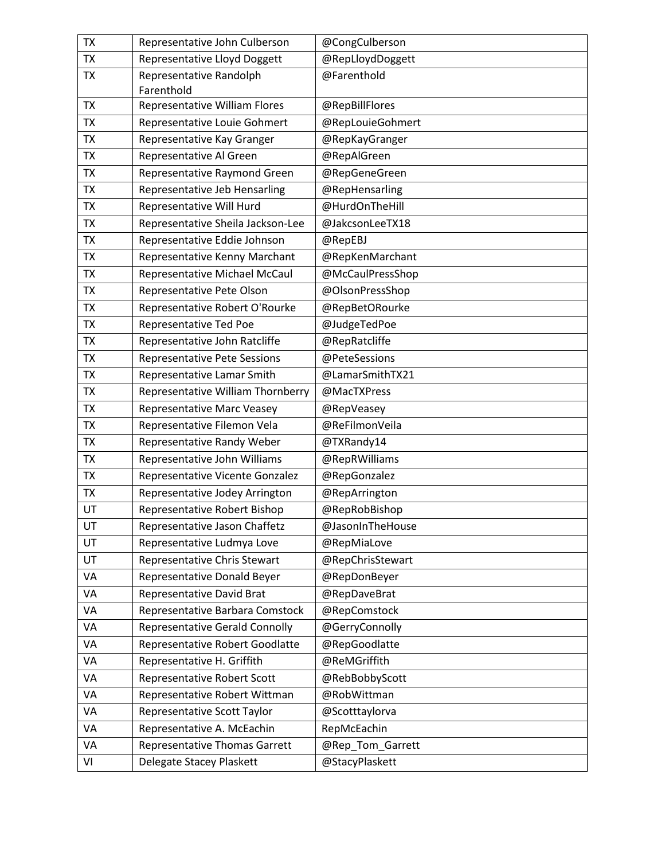| <b>TX</b> | Representative John Culberson         | @CongCulberson   |
|-----------|---------------------------------------|------------------|
| TX        | <b>Representative Lloyd Doggett</b>   | @RepLloydDoggett |
| <b>TX</b> | Representative Randolph<br>Farenthold | @Farenthold      |
| <b>TX</b> | Representative William Flores         | @RepBillFlores   |
| <b>TX</b> | Representative Louie Gohmert          | @RepLouieGohmert |
| <b>TX</b> | Representative Kay Granger            | @RepKayGranger   |
| <b>TX</b> | Representative Al Green               | @RepAlGreen      |
| <b>TX</b> | Representative Raymond Green          | @RepGeneGreen    |
| <b>TX</b> | Representative Jeb Hensarling         | @RepHensarling   |
| <b>TX</b> | Representative Will Hurd              | @HurdOnTheHill   |
| <b>TX</b> | Representative Sheila Jackson-Lee     | @JakcsonLeeTX18  |
| <b>TX</b> | Representative Eddie Johnson          | @RepEBJ          |
| <b>TX</b> | Representative Kenny Marchant         | @RepKenMarchant  |
| TX        | Representative Michael McCaul         | @McCaulPressShop |
| <b>TX</b> | Representative Pete Olson             | @OlsonPressShop  |
| <b>TX</b> | Representative Robert O'Rourke        | @RepBetORourke   |
| <b>TX</b> | Representative Ted Poe                | @JudgeTedPoe     |
| <b>TX</b> | Representative John Ratcliffe         | @RepRatcliffe    |
| <b>TX</b> | <b>Representative Pete Sessions</b>   | @PeteSessions    |
| <b>TX</b> | Representative Lamar Smith            | @LamarSmithTX21  |
| <b>TX</b> | Representative William Thornberry     | @MacTXPress      |
| <b>TX</b> | <b>Representative Marc Veasey</b>     | @RepVeasey       |
| <b>TX</b> | Representative Filemon Vela           | @ReFilmonVeila   |
| <b>TX</b> | Representative Randy Weber            | @TXRandy14       |
| <b>TX</b> | Representative John Williams          | @RepRWilliams    |
| <b>TX</b> | Representative Vicente Gonzalez       | @RepGonzalez     |
| <b>TX</b> | Representative Jodey Arrington        | @RepArrington    |
| UT        | Representative Robert Bishop          | @RepRobBishop    |
| UT        | Representative Jason Chaffetz         | @JasonInTheHouse |
| UT        | Representative Ludmya Love            | @RepMiaLove      |
| UT        | Representative Chris Stewart          | @RepChrisStewart |
| VA        | Representative Donald Beyer           | @RepDonBeyer     |
| VA        | Representative David Brat             | @RepDaveBrat     |
| VA        | Representative Barbara Comstock       | @RepComstock     |
| VA        | <b>Representative Gerald Connolly</b> | @GerryConnolly   |
| VA        | Representative Robert Goodlatte       | @RepGoodlatte    |
| VA        | Representative H. Griffith            | @ReMGriffith     |
| VA        | Representative Robert Scott           | @RebBobbyScott   |
| VA        | Representative Robert Wittman         | @RobWittman      |
| VA        | Representative Scott Taylor           | @Scotttaylorva   |
| VA        | Representative A. McEachin            | RepMcEachin      |
| VA        | <b>Representative Thomas Garrett</b>  | @Rep_Tom_Garrett |
| VI        | Delegate Stacey Plaskett              | @StacyPlaskett   |